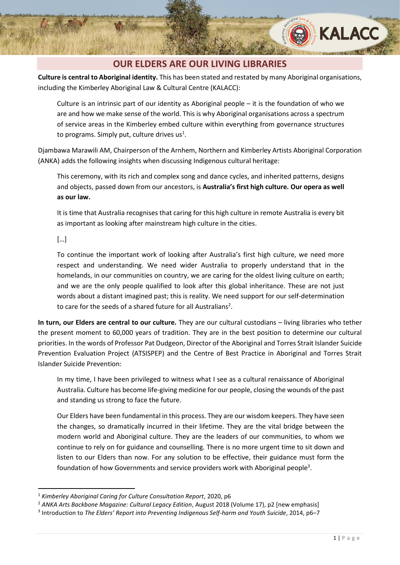

### **OUR ELDERS ARE OUR LIVING LIBRARIES**

**Culture is central to Aboriginal identity.** This has been stated and restated by many Aboriginal organisations, including the Kimberley Aboriginal Law & Cultural Centre (KALACC):

Culture is an intrinsic part of our identity as Aboriginal people – it is the foundation of who we are and how we make sense of the world. This is why Aboriginal organisations across a spectrum of service areas in the Kimberley embed culture within everything from governance structures to programs. Simply put, culture drives  $us^1$ .

Djambawa Marawili AM, Chairperson of the Arnhem, Northern and Kimberley Artists Aboriginal Corporation (ANKA) adds the following insights when discussing Indigenous cultural heritage:

This ceremony, with its rich and complex song and dance cycles, and inherited patterns, designs and objects, passed down from our ancestors, is **Australia's first high culture. Our opera as well as our law.**

It is time that Australia recognises that caring for this high culture in remote Australia is every bit as important as looking after mainstream high culture in the cities.

[…]

To continue the important work of looking after Australia's first high culture, we need more respect and understanding. We need wider Australia to properly understand that in the homelands, in our communities on country, we are caring for the oldest living culture on earth; and we are the only people qualified to look after this global inheritance. These are not just words about a distant imagined past; this is reality. We need support for our self-determination to care for the seeds of a shared future for all Australians<sup>2</sup>.

**In turn, our Elders are central to our culture.** They are our cultural custodians – living libraries who tether the present moment to 60,000 years of tradition. They are in the best position to determine our cultural priorities. In the words of Professor Pat Dudgeon, Director of the Aboriginal and Torres Strait Islander Suicide Prevention Evaluation Project (ATSISPEP) and the Centre of Best Practice in Aboriginal and Torres Strait Islander Suicide Prevention:

In my time, I have been privileged to witness what I see as a cultural renaissance of Aboriginal Australia. Culture has become life-giving medicine for our people, closing the wounds of the past and standing us strong to face the future.

Our Elders have been fundamental in this process. They are our wisdom keepers. They have seen the changes, so dramatically incurred in their lifetime. They are the vital bridge between the modern world and Aboriginal culture. They are the leaders of our communities, to whom we continue to rely on for guidance and counselling. There is no more urgent time to sit down and listen to our Elders than now. For any solution to be effective, their guidance must form the foundation of how Governments and service providers work with Aboriginal people<sup>3</sup>.

<sup>1</sup> *Kimberley Aboriginal Caring for Culture Consultation Report*, 2020, p6

<sup>2</sup> *ANKA Arts Backbone Magazine: Cultural Legacy Edition*, August 2018 (Volume 17), p2 [new emphasis]

<sup>3</sup> Introduction to *The Elders' Report into Preventing Indigenous Self-harm and Youth Suicide*, 2014, p6–7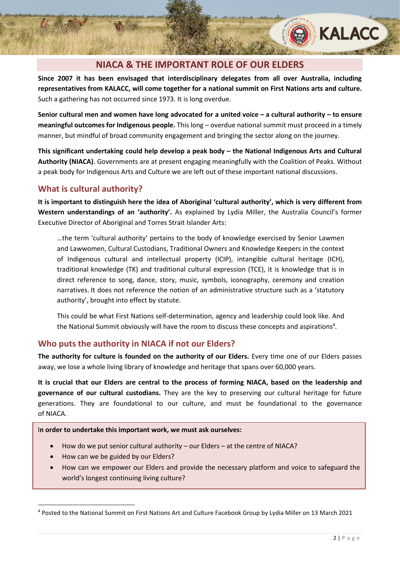# **NIACA & THE IMPORTANT ROLE OF OUR ELDERS**

**Since 2007 it has been envisaged that interdisciplinary delegates from all over Australia, including representatives from KALACC, will come together for a national summit on First Nations arts and culture.** Such a gathering has not occurred since 1973. It is long overdue.

**Senior cultural men and women have long advocated for a united voice – a cultural authority – to ensure meaningful outcomes for Indigenous people.** This long – overdue national summit must proceed in a timely manner, but mindful of broad community engagement and bringing the sector along on the journey.

**This significant undertaking could help develop a peak body – the National Indigenous Arts and Cultural Authority (NIACA)**. Governments are at present engaging meaningfully with the Coalition of Peaks. Without a peak body for Indigenous Arts and Culture we are left out of these important national discussions.

#### **What is cultural authority?**

**It is important to distinguish here the idea of Aboriginal 'cultural authority', which is very different from Western understandings of an 'authority'.** As explained by Lydia Miller, the Australia Council's former Executive Director of Aboriginal and Torres Strait Islander Arts:

…the term 'cultural authority' pertains to the body of knowledge exercised by Senior Lawmen and Lawwomen, Cultural Custodians, Traditional Owners and Knowledge Keepers in the context of Indigenous cultural and intellectual property (ICIP), intangible cultural heritage (ICH), traditional knowledge (TK) and traditional cultural expression (TCE), it is knowledge that is in direct reference to song, dance, story, music, symbols, iconography, ceremony and creation narratives. It does not reference the notion of an administrative structure such as a 'statutory authority', brought into effect by statute.

This could be what First Nations self-determination, agency and leadership could look like. And the National Summit obviously will have the room to discuss these concepts and aspirations<sup>4</sup>.

## **Who puts the authority in NIACA if not our Elders?**

**The authority for culture is founded on the authority of our Elders.** Every time one of our Elders passes away, we lose a whole living library of knowledge and heritage that spans over 60,000 years.

**It is crucial that our Elders are central to the process of forming NIACA, based on the leadership and governance of our cultural custodians.** They are the key to preserving our cultural heritage for future generations. They are foundational to our culture, and must be foundational to the governance of NIACA.

#### I**n order to undertake this important work, we must ask ourselves:**

- How do we put senior cultural authority our Elders at the centre of NIACA?
- How can we be guided by our Elders?
- How can we empower our Elders and provide the necessary platform and voice to safeguard the world's longest continuing living culture?

**KALACC** 

<sup>4</sup> Posted to the National Summit on First Nations Art and Culture Facebook Group by Lydia Miller on 13 March 2021